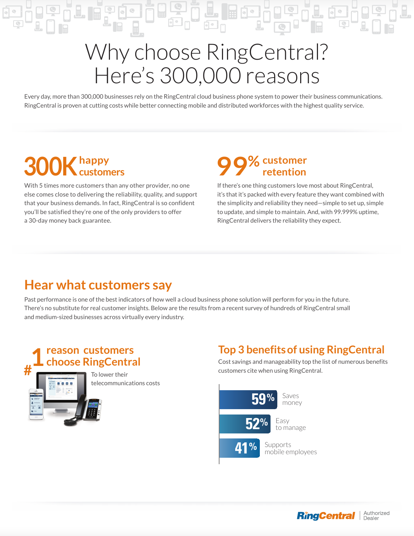# Why choose RingCentral? Here's 300,000 reasons

Every day, more than 300,000 businesses rely on the RingCentral cloud business phone system to power their business communications. RingCentral is proven at cutting costs while better connecting mobile and distributed workforces with the highest quality service.

#### **300K happy** 99% **customers**

With 5 times more customers than any other provider, no one else comes close to delivering the reliability, quality, and support that your business demands. In fact, RingCentral is so confident you'll be satisfied they're one of the only providers to offer a 30-day money back guarantee.

#### **customer retention**

▔▏▕▆▏▘<br>▔▏▏

If there's one thing customers love most about RingCentral, it's that it's packed with every feature they want combined with the simplicity and reliability they need—simple to set up, simple to update, and simple to maintain. And, with 99.999% uptime, RingCentral delivers the reliability they expect.

### **Hear what customers say**

Past performance is one of the best indicators of how well a cloud business phone solution will perform for you in the future. There's no substitute for real customer insights. Below are the results from a recent survey of hundreds of RingCentral small and medium-sized businesses across virtually every industry.

#### **reason customers choose RingCentral**



To lower their telecommunications costs

#### **1 Top 3 benefitsof using RingCentral**

Cost savings and manageability top the list of numerous benefits customers cite when using RingCentral.